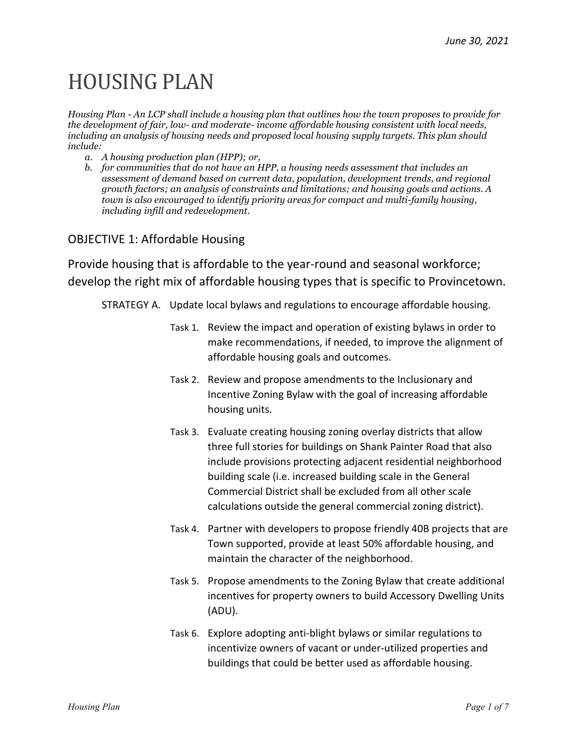# HOUSING PLAN

*Housing Plan - An LCP shall include a housing plan that outlines how the town proposes to provide for the development of fair, low- and moderate- income affordable housing consistent with local needs, including an analysis of housing needs and proposed local housing supply targets. This plan should include:*

- *a. A housing production plan (HPP); or,*
- *b. for communities that do not have an HPP, a housing needs assessment that includes an assessment of demand based on current data, population, development trends, and regional growth factors; an analysis of constraints and limitations; and housing goals and actions. A town is also encouraged to identify priority areas for compact and multi-family housing, including infill and redevelopment.*

# OBJECTIVE 1: Affordable Housing

Provide housing that is affordable to the year-round and seasonal workforce; develop the right mix of affordable housing types that is specific to Provincetown.

STRATEGY A. Update local bylaws and regulations to encourage affordable housing.

- Task 1. Review the impact and operation of existing bylaws in order to make recommendations, if needed, to improve the alignment of affordable housing goals and outcomes.
- Task 2. Review and propose amendments to the Inclusionary and Incentive Zoning Bylaw with the goal of increasing affordable housing units.
- Task 3. Evaluate creating housing zoning overlay districts that allow three full stories for buildings on Shank Painter Road that also include provisions protecting adjacent residential neighborhood building scale (i.e. increased building scale in the General Commercial District shall be excluded from all other scale calculations outside the general commercial zoning district).
- Task 4. Partner with developers to propose friendly 40B projects that are Town supported, provide at least 50% affordable housing, and maintain the character of the neighborhood.
- Task 5. Propose amendments to the Zoning Bylaw that create additional incentives for property owners to build Accessory Dwelling Units (ADU).
- Task 6. Explore adopting anti-blight bylaws or similar regulations to incentivize owners of vacant or under-utilized properties and buildings that could be better used as affordable housing.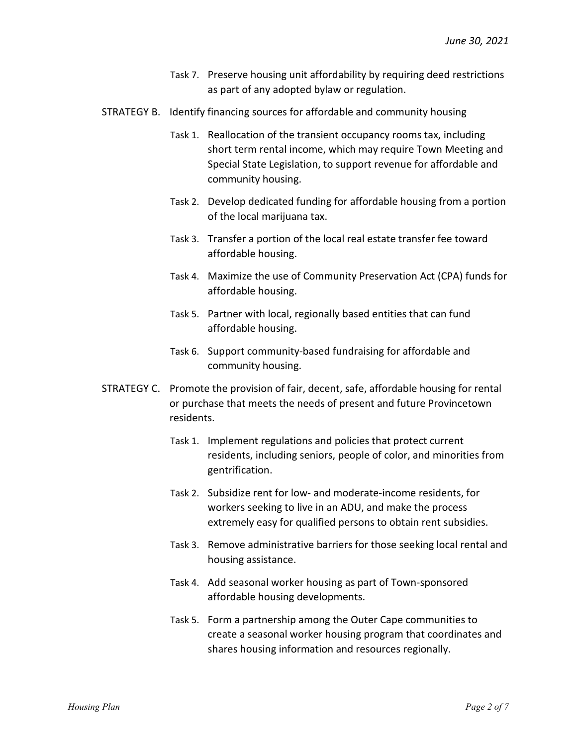- Task 7. Preserve housing unit affordability by requiring deed restrictions as part of any adopted bylaw or regulation.
- STRATEGY B. Identify financing sources for affordable and community housing
	- Task 1. Reallocation of the transient occupancy rooms tax, including short term rental income, which may require Town Meeting and Special State Legislation, to support revenue for affordable and community housing.
	- Task 2. Develop dedicated funding for affordable housing from a portion of the local marijuana tax.
	- Task 3. Transfer a portion of the local real estate transfer fee toward affordable housing.
	- Task 4. Maximize the use of Community Preservation Act (CPA) funds for affordable housing.
	- Task 5. Partner with local, regionally based entities that can fund affordable housing.
	- Task 6. Support community-based fundraising for affordable and community housing.
- STRATEGY C. Promote the provision of fair, decent, safe, affordable housing for rental or purchase that meets the needs of present and future Provincetown residents.
	- Task 1. Implement regulations and policies that protect current residents, including seniors, people of color, and minorities from gentrification.
	- Task 2. Subsidize rent for low- and moderate-income residents, for workers seeking to live in an ADU, and make the process extremely easy for qualified persons to obtain rent subsidies.
	- Task 3. Remove administrative barriers for those seeking local rental and housing assistance.
	- Task 4. Add seasonal worker housing as part of Town-sponsored affordable housing developments.
	- Task 5. Form a partnership among the Outer Cape communities to create a seasonal worker housing program that coordinates and shares housing information and resources regionally.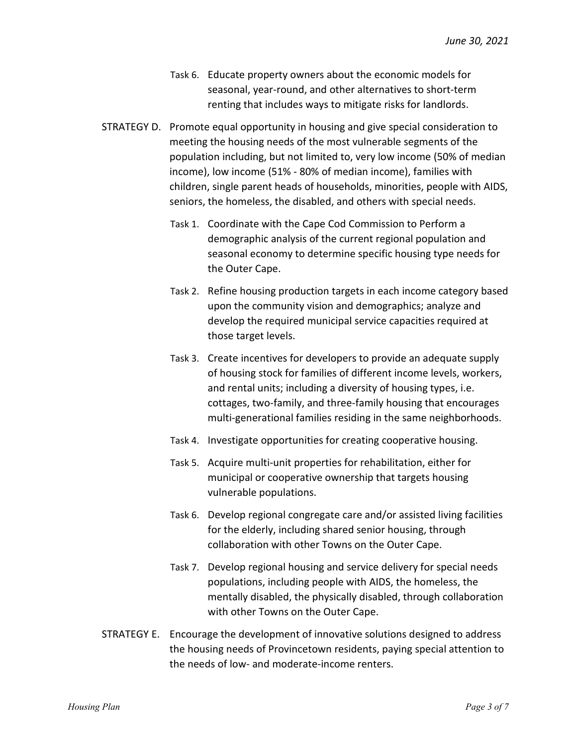- Task 6. Educate property owners about the economic models for seasonal, year-round, and other alternatives to short-term renting that includes ways to mitigate risks for landlords.
- STRATEGY D. Promote equal opportunity in housing and give special consideration to meeting the housing needs of the most vulnerable segments of the population including, but not limited to, very low income (50% of median income), low income (51% - 80% of median income), families with children, single parent heads of households, minorities, people with AIDS, seniors, the homeless, the disabled, and others with special needs.
	- Task 1. Coordinate with the Cape Cod Commission to Perform a demographic analysis of the current regional population and seasonal economy to determine specific housing type needs for the Outer Cape.
	- Task 2. Refine housing production targets in each income category based upon the community vision and demographics; analyze and develop the required municipal service capacities required at those target levels.
	- Task 3. Create incentives for developers to provide an adequate supply of housing stock for families of different income levels, workers, and rental units; including a diversity of housing types, i.e. cottages, two-family, and three-family housing that encourages multi-generational families residing in the same neighborhoods.
	- Task 4. Investigate opportunities for creating cooperative housing.
	- Task 5. Acquire multi-unit properties for rehabilitation, either for municipal or cooperative ownership that targets housing vulnerable populations.
	- Task 6. Develop regional congregate care and/or assisted living facilities for the elderly, including shared senior housing, through collaboration with other Towns on the Outer Cape.
	- Task 7. Develop regional housing and service delivery for special needs populations, including people with AIDS, the homeless, the mentally disabled, the physically disabled, through collaboration with other Towns on the Outer Cape.
- STRATEGY E. Encourage the development of innovative solutions designed to address the housing needs of Provincetown residents, paying special attention to the needs of low- and moderate-income renters.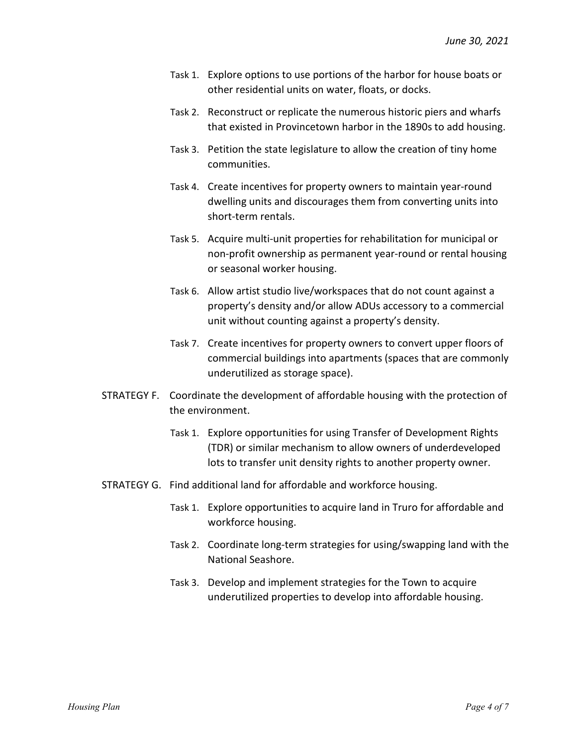- Task 1. Explore options to use portions of the harbor for house boats or other residential units on water, floats, or docks.
- Task 2. Reconstruct or replicate the numerous historic piers and wharfs that existed in Provincetown harbor in the 1890s to add housing.
- Task 3. Petition the state legislature to allow the creation of tiny home communities.
- Task 4. Create incentives for property owners to maintain year-round dwelling units and discourages them from converting units into short-term rentals.
- Task 5. Acquire multi-unit properties for rehabilitation for municipal or non-profit ownership as permanent year-round or rental housing or seasonal worker housing.
- Task 6. Allow artist studio live/workspaces that do not count against a property's density and/or allow ADUs accessory to a commercial unit without counting against a property's density.
- Task 7. Create incentives for property owners to convert upper floors of commercial buildings into apartments (spaces that are commonly underutilized as storage space).
- STRATEGY F. Coordinate the development of affordable housing with the protection of the environment.
	- Task 1. Explore opportunities for using Transfer of Development Rights (TDR) or similar mechanism to allow owners of underdeveloped lots to transfer unit density rights to another property owner.
- STRATEGY G. Find additional land for affordable and workforce housing.
	- Task 1. Explore opportunities to acquire land in Truro for affordable and workforce housing.
	- Task 2. Coordinate long-term strategies for using/swapping land with the National Seashore.
	- Task 3. Develop and implement strategies for the Town to acquire underutilized properties to develop into affordable housing.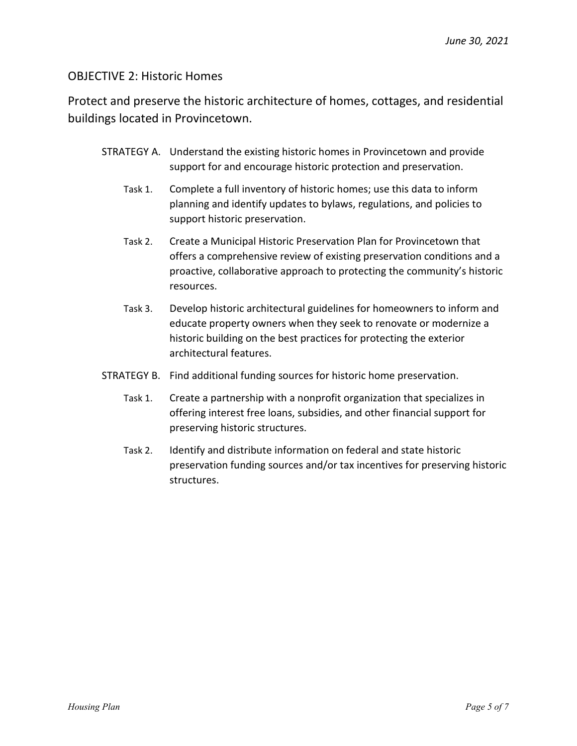# OBJECTIVE 2: Historic Homes

Protect and preserve the historic architecture of homes, cottages, and residential buildings located in Provincetown.

- STRATEGY A. Understand the existing historic homes in Provincetown and provide support for and encourage historic protection and preservation.
	- Task 1. Complete a full inventory of historic homes; use this data to inform planning and identify updates to bylaws, regulations, and policies to support historic preservation.
	- Task 2. Create a Municipal Historic Preservation Plan for Provincetown that offers a comprehensive review of existing preservation conditions and a proactive, collaborative approach to protecting the community's historic resources.
	- Task 3. Develop historic architectural guidelines for homeowners to inform and educate property owners when they seek to renovate or modernize a historic building on the best practices for protecting the exterior architectural features.
- STRATEGY B. Find additional funding sources for historic home preservation.
	- Task 1. Create a partnership with a nonprofit organization that specializes in offering interest free loans, subsidies, and other financial support for preserving historic structures.
	- Task 2. Identify and distribute information on federal and state historic preservation funding sources and/or tax incentives for preserving historic structures.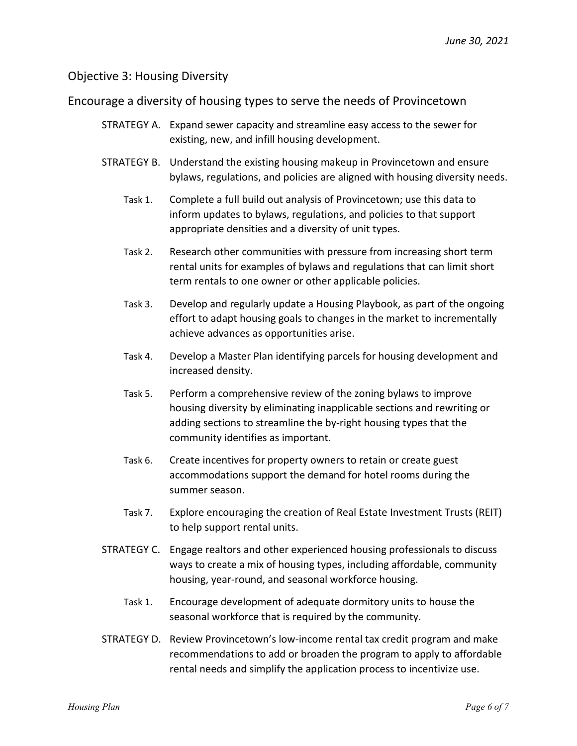### Objective 3: Housing Diversity

### Encourage a diversity of housing types to serve the needs of Provincetown

- STRATEGY A. Expand sewer capacity and streamline easy access to the sewer for existing, new, and infill housing development.
- STRATEGY B. Understand the existing housing makeup in Provincetown and ensure bylaws, regulations, and policies are aligned with housing diversity needs.
	- Task 1. Complete a full build out analysis of Provincetown; use this data to inform updates to bylaws, regulations, and policies to that support appropriate densities and a diversity of unit types.
	- Task 2. Research other communities with pressure from increasing short term rental units for examples of bylaws and regulations that can limit short term rentals to one owner or other applicable policies.
	- Task 3. Develop and regularly update a Housing Playbook, as part of the ongoing effort to adapt housing goals to changes in the market to incrementally achieve advances as opportunities arise.
	- Task 4. Develop a Master Plan identifying parcels for housing development and increased density.
	- Task 5. Perform a comprehensive review of the zoning bylaws to improve housing diversity by eliminating inapplicable sections and rewriting or adding sections to streamline the by-right housing types that the community identifies as important.
	- Task 6. Create incentives for property owners to retain or create guest accommodations support the demand for hotel rooms during the summer season.
	- Task 7. Explore encouraging the creation of Real Estate Investment Trusts (REIT) to help support rental units.
- STRATEGY C. Engage realtors and other experienced housing professionals to discuss ways to create a mix of housing types, including affordable, community housing, year-round, and seasonal workforce housing.
	- Task 1. Encourage development of adequate dormitory units to house the seasonal workforce that is required by the community.
- STRATEGY D. Review Provincetown's low-income rental tax credit program and make recommendations to add or broaden the program to apply to affordable rental needs and simplify the application process to incentivize use.